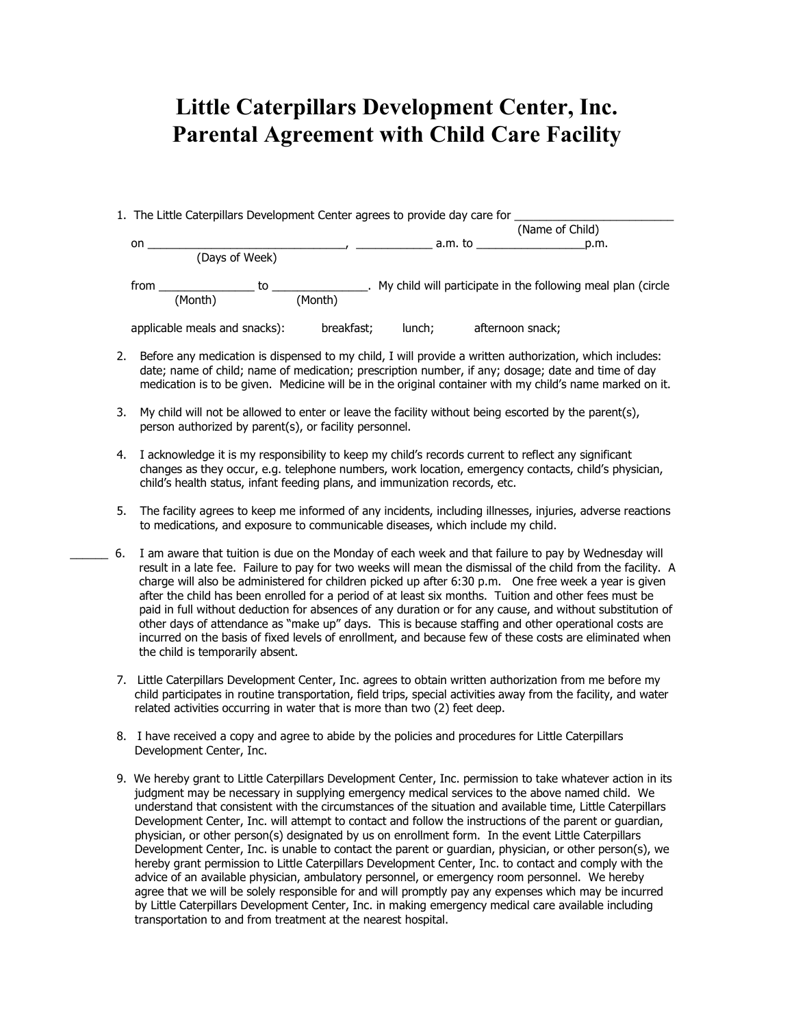## **Little Caterpillars Development Center, Inc. Parental Agreement with Child Care Facility**

1. The Little Caterpillars Development Center agrees to provide day care for \_\_\_\_\_\_\_\_\_\_\_\_\_\_\_\_\_\_\_\_\_\_\_\_\_\_\_\_\_\_\_\_\_

|                               |            | (Name of Child) |                                                                |      |
|-------------------------------|------------|-----------------|----------------------------------------------------------------|------|
| on                            |            | a.m. to         |                                                                | p.m. |
| (Days of Week)                |            |                 |                                                                |      |
| from<br>to                    |            |                 | . My child will participate in the following meal plan (circle |      |
| (Month)                       | (Month)    |                 |                                                                |      |
| applicable meals and snacks): | breakfast; | lunch;          | afternoon snack;                                               |      |

- 2. Before any medication is dispensed to my child, I will provide a written authorization, which includes: date; name of child; name of medication; prescription number, if any; dosage; date and time of day medication is to be given. Medicine will be in the original container with my child's name marked on it.
- 3. My child will not be allowed to enter or leave the facility without being escorted by the parent(s), person authorized by parent(s), or facility personnel.
- 4. I acknowledge it is my responsibility to keep my child's records current to reflect any significant changes as they occur, e.g. telephone numbers, work location, emergency contacts, child's physician, child's health status, infant feeding plans, and immunization records, etc.
- 5. The facility agrees to keep me informed of any incidents, including illnesses, injuries, adverse reactions to medications, and exposure to communicable diseases, which include my child.
- \_\_\_\_\_\_ 6. I am aware that tuition is due on the Monday of each week and that failure to pay by Wednesday will result in a late fee. Failure to pay for two weeks will mean the dismissal of the child from the facility. A charge will also be administered for children picked up after 6:30 p.m. One free week a year is given after the child has been enrolled for a period of at least six months. Tuition and other fees must be paid in full without deduction for absences of any duration or for any cause, and without substitution of other days of attendance as "make up" days. This is because staffing and other operational costs are incurred on the basis of fixed levels of enrollment, and because few of these costs are eliminated when the child is temporarily absent.
	- 7. Little Caterpillars Development Center, Inc. agrees to obtain written authorization from me before my child participates in routine transportation, field trips, special activities away from the facility, and water related activities occurring in water that is more than two (2) feet deep.
	- 8. I have received a copy and agree to abide by the policies and procedures for Little Caterpillars Development Center, Inc.
	- 9. We hereby grant to Little Caterpillars Development Center, Inc. permission to take whatever action in its judgment may be necessary in supplying emergency medical services to the above named child. We understand that consistent with the circumstances of the situation and available time, Little Caterpillars Development Center, Inc. will attempt to contact and follow the instructions of the parent or guardian, physician, or other person(s) designated by us on enrollment form. In the event Little Caterpillars Development Center, Inc. is unable to contact the parent or guardian, physician, or other person(s), we hereby grant permission to Little Caterpillars Development Center, Inc. to contact and comply with the advice of an available physician, ambulatory personnel, or emergency room personnel. We hereby agree that we will be solely responsible for and will promptly pay any expenses which may be incurred by Little Caterpillars Development Center, Inc. in making emergency medical care available including transportation to and from treatment at the nearest hospital.